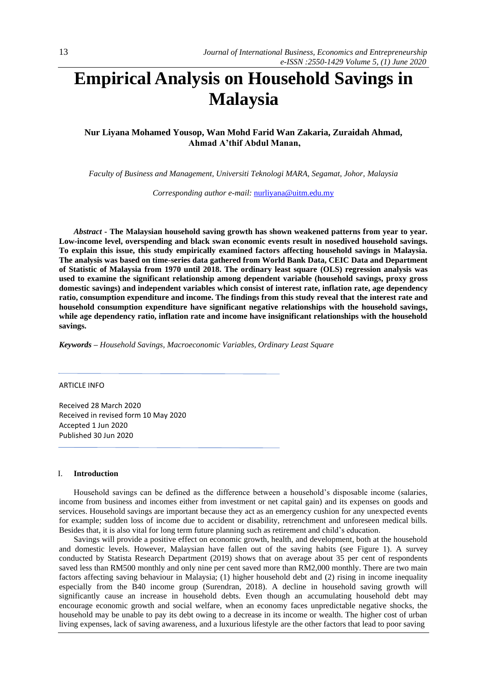# **Empirical Analysis on Household Savings in Malaysia**

**Nur Liyana Mohamed Yousop, Wan Mohd Farid Wan Zakaria, Zuraidah Ahmad, Ahmad A'thif Abdul Manan,** 

*Faculty of Business and Management, Universiti Teknologi MARA, Segamat, Johor, Malaysia*

*Corresponding author e-mail:* [nurliyana@uitm.edu.my](mailto:nurliyana@uitm.edu.my)

*Abstract -* **The Malaysian household saving growth has shown weakened patterns from year to year. Low-income level, overspending and black swan economic events result in nosedived household savings. To explain this issue, this study empirically examined factors affecting household savings in Malaysia. The analysis was based on time-series data gathered from World Bank Data, CEIC Data and Department of Statistic of Malaysia from 1970 until 2018. The ordinary least square (OLS) regression analysis was used to examine the significant relationship among dependent variable (household savings, proxy gross domestic savings) and independent variables which consist of interest rate, inflation rate, age dependency ratio, consumption expenditure and income. The findings from this study reveal that the interest rate and household consumption expenditure have significant negative relationships with the household savings, while age dependency ratio, inflation rate and income have insignificant relationships with the household savings.**

*Keywords – Household Savings, Macroeconomic Variables, Ordinary Least Square*

ARTICLE INFO

Received 28 March 2020 Received in revised form 10 May 2020 Accepted 1 Jun 2020 Published 30 Jun 2020

#### I. **Introduction**

Household savings can be defined as the difference between a household's disposable income (salaries, income from business and incomes either from investment or net capital gain) and its expenses on goods and services. Household savings are important because they act as an emergency cushion for any unexpected events for example; sudden loss of income due to accident or disability, retrenchment and unforeseen medical bills. Besides that, it is also vital for long term future planning such as retirement and child's education.

Savings will provide a positive effect on economic growth, health, and development, both at the household and domestic levels. However, Malaysian have fallen out of the saving habits (see Figure 1). A survey conducted by Statista Research Department (2019) shows that on average about 35 per cent of respondents saved less than RM500 monthly and only nine per cent saved more than RM2,000 monthly. There are two main factors affecting saving behaviour in Malaysia; (1) higher household debt and (2) rising in income inequality especially from the B40 income group (Surendran, 2018). A decline in household saving growth will significantly cause an increase in household debts. Even though an accumulating household debt may encourage economic growth and social welfare, when an economy faces unpredictable negative shocks, the household may be unable to pay its debt owing to a decrease in its income or wealth. The higher cost of urban living expenses, lack of saving awareness, and a luxurious lifestyle are the other factors that lead to poor saving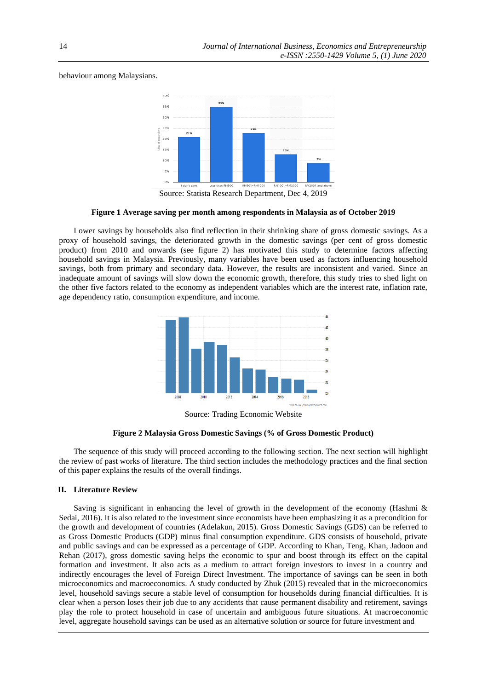## behaviour among Malaysians.



Source: Statista Research Department, Dec 4, 2019

#### **Figure 1 Average saving per month among respondents in Malaysia as of October 2019**

Lower savings by households also find reflection in their shrinking share of gross domestic savings. As a proxy of household savings, the deteriorated growth in the domestic savings (per cent of gross domestic product) from 2010 and onwards (see figure 2) has motivated this study to determine factors affecting household savings in Malaysia. Previously, many variables have been used as factors influencing household savings, both from primary and secondary data. However, the results are inconsistent and varied. Since an inadequate amount of savings will slow down the economic growth, therefore, this study tries to shed light on the other five factors related to the economy as independent variables which are the interest rate, inflation rate, age dependency ratio, consumption expenditure, and income.



Source: Trading Economic Website

#### **Figure 2 Malaysia Gross Domestic Savings (% of Gross Domestic Product)**

The sequence of this study will proceed according to the following section. The next section will highlight the review of past works of literature. The third section includes the methodology practices and the final section of this paper explains the results of the overall findings.

#### **II. Literature Review**

Saving is significant in enhancing the level of growth in the development of the economy (Hashmi & Sedai, 2016). It is also related to the investment since economists have been emphasizing it as a precondition for the growth and development of countries (Adelakun, 2015). Gross Domestic Savings (GDS) can be referred to as Gross Domestic Products (GDP) minus final consumption expenditure. GDS consists of household, private and public savings and can be expressed as a percentage of GDP. According to Khan, Teng, Khan, Jadoon and Rehan (2017), gross domestic saving helps the economic to spur and boost through its effect on the capital formation and investment. It also acts as a medium to attract foreign investors to invest in a country and indirectly encourages the level of Foreign Direct Investment. The importance of savings can be seen in both microeconomics and macroeconomics. A study conducted by Zhuk (2015) revealed that in the microeconomics level, household savings secure a stable level of consumption for households during financial difficulties. It is clear when a person loses their job due to any accidents that cause permanent disability and retirement, savings play the role to protect household in case of uncertain and ambiguous future situations. At macroeconomic level, aggregate household savings can be used as an alternative solution or source for future investment and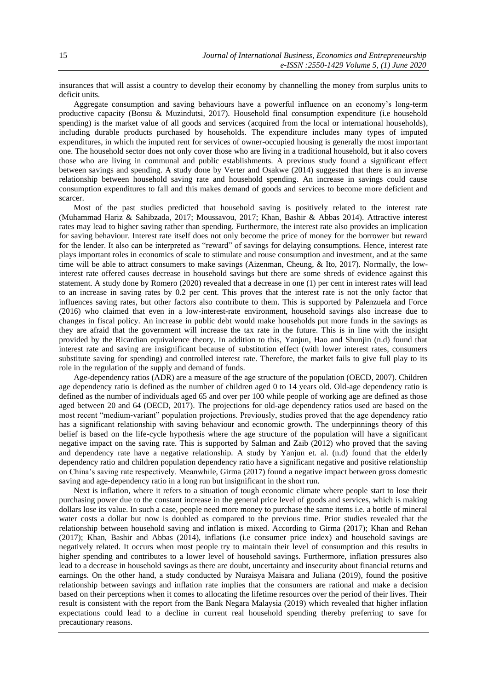insurances that will assist a country to develop their economy by channelling the money from surplus units to deficit units.

Aggregate consumption and saving behaviours have a powerful influence on an economy's long-term productive capacity (Bonsu & Muzindutsi, 2017). Household final consumption expenditure (i.e household spending) is the market value of all goods and services (acquired from the local or international households), including durable products purchased by households. The expenditure includes many types of imputed expenditures, in which the imputed rent for services of owner-occupied housing is generally the most important one. The household sector does not only cover those who are living in a traditional household, but it also covers those who are living in communal and public establishments. A previous study found a significant effect between savings and spending. A study done by Verter and Osakwe (2014) suggested that there is an inverse relationship between household saving rate and household spending. An increase in savings could cause consumption expenditures to fall and this makes demand of goods and services to become more deficient and scarcer.

Most of the past studies predicted that household saving is positively related to the interest rate (Muhammad Hariz & Sahibzada, 2017; Moussavou, 2017; Khan, Bashir & Abbas 2014). Attractive interest rates may lead to higher saving rather than spending. Furthermore, the interest rate also provides an implication for saving behaviour. Interest rate itself does not only become the price of money for the borrower but reward for the lender. It also can be interpreted as "reward" of savings for delaying consumptions. Hence, interest rate plays important roles in economics of scale to stimulate and rouse consumption and investment, and at the same time will be able to attract consumers to make savings (Aizenman, Cheung, & Ito, 2017). Normally, the lowinterest rate offered causes decrease in household savings but there are some shreds of evidence against this statement. A study done by Romero (2020) revealed that a decrease in one (1) per cent in interest rates will lead to an increase in saving rates by 0.2 per cent. This proves that the interest rate is not the only factor that influences saving rates, but other factors also contribute to them. This is supported by Palenzuela and Force (2016) who claimed that even in a low-interest-rate environment, household savings also increase due to changes in fiscal policy. An increase in public debt would make households put more funds in the savings as they are afraid that the government will increase the tax rate in the future. This is in line with the insight provided by the Ricardian equivalence theory. In addition to this, Yanjun, Hao and Shunjin (n.d) found that interest rate and saving are insignificant because of substitution effect (with lower interest rates, consumers substitute saving for spending) and controlled interest rate. Therefore, the market fails to give full play to its role in the regulation of the supply and demand of funds.

Age-dependency ratios (ADR) are a measure of the age structure of the population (OECD, 2007). Children age dependency ratio is defined as the number of children aged 0 to 14 years old. Old-age dependency ratio is defined as the number of individuals aged 65 and over per 100 while people of working age are defined as those aged between 20 and 64 (OECD, 2017). The projections for old-age dependency ratios used are based on the most recent "medium-variant" population projections. Previously, studies proved that the age dependency ratio has a significant relationship with saving behaviour and economic growth. The underpinnings theory of this belief is based on the life-cycle hypothesis where the age structure of the population will have a significant negative impact on the saving rate. This is supported by Salman and Zaib (2012) who proved that the saving and dependency rate have a negative relationship. A study by Yanjun et. al. (n.d) found that the elderly dependency ratio and children population dependency ratio have a significant negative and positive relationship on China's saving rate respectively. Meanwhile, Girma (2017) found a negative impact between gross domestic saving and age-dependency ratio in a long run but insignificant in the short run.

Next is inflation, where it refers to a situation of tough economic climate where people start to lose their purchasing power due to the constant increase in the general price level of goods and services, which is making dollars lose its value. In such a case, people need more money to purchase the same items i.e. a bottle of mineral water costs a dollar but now is doubled as compared to the previous time. Prior studies revealed that the relationship between household saving and inflation is mixed. According to Girma (2017); Khan and Rehan (2017); Khan, Bashir and Abbas (2014), inflations (i.e consumer price index) and household savings are negatively related. It occurs when most people try to maintain their level of consumption and this results in higher spending and contributes to a lower level of household savings. Furthermore, inflation pressures also lead to a decrease in household savings as there are doubt, uncertainty and insecurity about financial returns and earnings. On the other hand, a study conducted by Nuraisya Maisara and Juliana (2019), found the positive relationship between savings and inflation rate implies that the consumers are rational and make a decision based on their perceptions when it comes to allocating the lifetime resources over the period of their lives. Their result is consistent with the report from the Bank Negara Malaysia (2019) which revealed that higher inflation expectations could lead to a decline in current real household spending thereby preferring to save for precautionary reasons.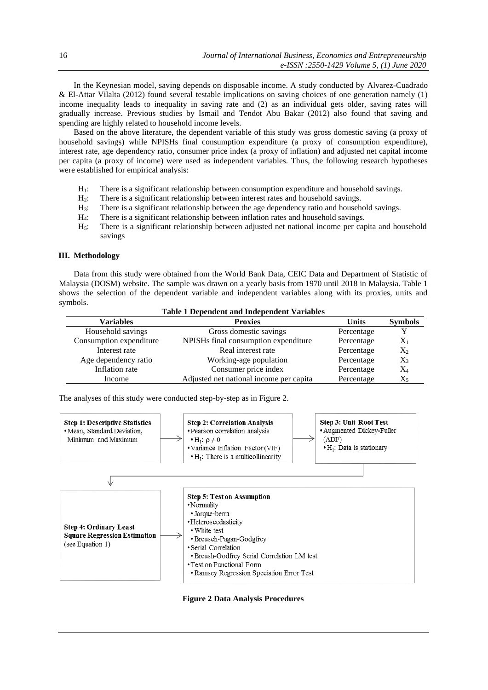In the Keynesian model, saving depends on disposable income. A study conducted by Alvarez-Cuadrado & El-Attar Vilalta (2012) found several testable implications on saving choices of one generation namely (1) income inequality leads to inequality in saving rate and (2) as an individual gets older, saving rates will gradually increase. Previous studies by Ismail and Tendot Abu Bakar (2012) also found that saving and spending are highly related to household income levels.

Based on the above literature, the dependent variable of this study was gross domestic saving (a proxy of household savings) while NPISHs final consumption expenditure (a proxy of consumption expenditure), interest rate, age dependency ratio, consumer price index (a proxy of inflation) and adjusted net capital income per capita (a proxy of income) were used as independent variables. Thus, the following research hypotheses were established for empirical analysis:

- H1: There is a significant relationship between consumption expenditure and household savings.
- $H_2$ : There is a significant relationship between interest rates and household savings.<br>H<sub>3</sub>: There is a significant relationship between the age dependency ratio and househ
- There is a significant relationship between the age dependency ratio and household savings.
- H4: There is a significant relationship between inflation rates and household savings.
- H5: There is a significant relationship between adjusted net national income per capita and household savings

## **III. Methodology**

Data from this study were obtained from the World Bank Data, CEIC Data and Department of Statistic of Malaysia (DOSM) website. The sample was drawn on a yearly basis from 1970 until 2018 in Malaysia. Table 1 shows the selection of the dependent variable and independent variables along with its proxies, units and symbols.

**Table 1 Dependent and Independent Variables**

| Table I Dependent and Independent Variables |                                         |              |                |  |  |  |  |
|---------------------------------------------|-----------------------------------------|--------------|----------------|--|--|--|--|
| <b>Variables</b>                            | <b>Proxies</b>                          | <b>Units</b> | <b>Symbols</b> |  |  |  |  |
| Household savings                           | Gross domestic savings                  | Percentage   |                |  |  |  |  |
| Consumption expenditure                     | NPISHs final consumption expenditure    | Percentage   | $X_1$          |  |  |  |  |
| Interest rate                               | Real interest rate                      | Percentage   | $X_2$          |  |  |  |  |
| Age dependency ratio                        | Working-age population                  | Percentage   | $X_3$          |  |  |  |  |
| Inflation rate                              | Consumer price index                    | Percentage   | $X_4$          |  |  |  |  |
| Income                                      | Adjusted net national income per capita | Percentage   | X5             |  |  |  |  |

The analyses of this study were conducted step-by-step as in Figure 2.



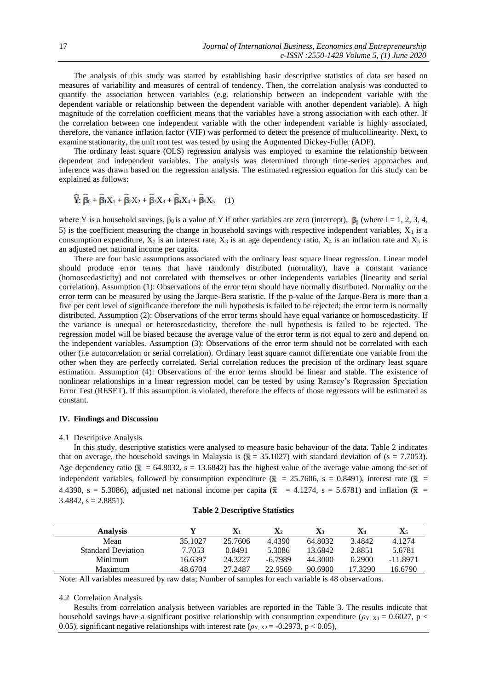The analysis of this study was started by establishing basic descriptive statistics of data set based on measures of variability and measures of central of tendency. Then, the correlation analysis was conducted to quantify the association between variables (e.g. relationship between an independent variable with the dependent variable or relationship between the dependent variable with another dependent variable). A high magnitude of the correlation coefficient means that the variables have a strong association with each other. If the correlation between one independent variable with the other independent variable is highly associated, therefore, the variance inflation factor (VIF) was performed to detect the presence of multicollinearity. Next, to examine stationarity, the unit root test was tested by using the Augmented Dickey-Fuller (ADF).

The ordinary least square (OLS) regression analysis was employed to examine the relationship between dependent and independent variables. The analysis was determined through time-series approaches and inference was drawn based on the regression analysis. The estimated regression equation for this study can be explained as follows:

$$
\widehat{\mathbf{Y}}\cdot\widehat{\boldsymbol{\beta}}_0+\widehat{\boldsymbol{\beta}}_1\mathbf{X}_1+\widehat{\boldsymbol{\beta}}_2\mathbf{X}_2+\widehat{\boldsymbol{\beta}}_3\mathbf{X}_3+\widehat{\boldsymbol{\beta}}_4\mathbf{X}_4+\widehat{\boldsymbol{\beta}}_5\mathbf{X}_5\qquad(1)
$$

where Y is a household savings,  $\beta_0$  is a value of Y if other variables are zero (intercept),  $\beta_i$  (where i = 1, 2, 3, 4, 5) is the coefficient measuring the change in household savings with respective independent variables,  $X_1$  is a consumption expenditure,  $X_2$  is an interest rate,  $X_3$  is an age dependency ratio,  $X_4$  is an inflation rate and  $X_5$  is an adjusted net national income per capita.

There are four basic assumptions associated with the ordinary least square linear regression. Linear model should produce error terms that have randomly distributed (normality), have a constant variance (homoscedasticity) and not correlated with themselves or other independents variables (linearity and serial correlation). Assumption (1): Observations of the error term should have normally distributed. Normality on the error term can be measured by using the Jarque-Bera statistic. If the p-value of the Jarque-Bera is more than a five per cent level of significance therefore the null hypothesis is failed to be rejected; the error term is normally distributed. Assumption (2): Observations of the error terms should have equal variance or homoscedasticity. If the variance is unequal or heteroscedasticity, therefore the null hypothesis is failed to be rejected. The regression model will be biased because the average value of the error term is not equal to zero and depend on the independent variables. Assumption (3): Observations of the error term should not be correlated with each other (i.e autocorrelation or serial correlation). Ordinary least square cannot differentiate one variable from the other when they are perfectly correlated. Serial correlation reduces the precision of the ordinary least square estimation. Assumption (4): Observations of the error terms should be linear and stable. The existence of nonlinear relationships in a linear regression model can be tested by using Ramsey's Regression Speciation Error Test (RESET). If this assumption is violated, therefore the effects of those regressors will be estimated as constant.

# **IV. Findings and Discussion**

#### 4.1 Descriptive Analysis

In this study, descriptive statistics were analysed to measure basic behaviour of the data. Table 2 indicates that on average, the household savings in Malaysia is  $(\bar{x} = 35.1027)$  with standard deviation of (s = 7.7053). Age dependency ratio ( $\bar{x}$  = 64.8032, s = 13.6842) has the highest value of the average value among the set of independent variables, followed by consumption expenditure ( $\bar{x}$  = 25.7606, s = 0.8491), interest rate ( $\bar{x}$  = 4.4390, s = 5.3086), adjusted net national income per capita ( $\bar{x}$  = 4.1274, s = 5.6781) and inflation ( $\bar{x}$  =  $3.4842$ ,  $s = 2.8851$ ).

| <b>Analysis</b>           |         | $\mathbf{X}_1$ | $\mathbf{X}_2$ | $X_3$   | X4      | $\mathbf{X}$ 5 |
|---------------------------|---------|----------------|----------------|---------|---------|----------------|
| Mean                      | 35.1027 | 25.7606        | 4.4390         | 64.8032 | 3.4842  | 4.1274         |
| <b>Standard Deviation</b> | 7.7053  | 0.8491         | 5.3086         | 13.6842 | 2.8851  | 5.6781         |
| Minimum                   | 16.6397 | 24.3227        | -6.7989        | 44.3000 | 0.2900  | -11.8971       |
| Maximum                   | 48.6704 | 27.2487        | 22.9569        | 90.6900 | 17.3290 | 16.6790        |

Note: All variables measured by raw data; Number of samples for each variable is 48 observations.

#### 4.2 Correlation Analysis

Results from correlation analysis between variables are reported in the Table 3. The results indicate that household savings have a significant positive relationship with consumption expenditure ( $\rho_{Y, X1} = 0.6027$ , p < 0.05), significant negative relationships with interest rate ( $\rho_{Y, X2}$  = -0.2973, p < 0.05),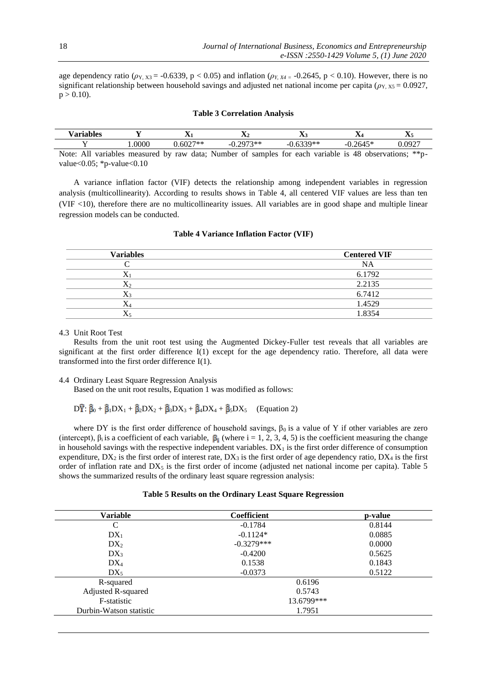age dependency ratio ( $\rho_{Y,X3}$  = -0.6339, p < 0.05) and inflation ( $\rho_{Y,X4}$  = -0.2645, p < 0.10). However, there is no significant relationship between household savings and adjusted net national income per capita ( $\rho_{Y, X5} = 0.0927$ ,  $p > 0.10$ ).

# **Table 3 Correlation Analysis**

| $ -$<br>'oric<br>$\sim$<br>,,,,, |   | --   |     | $-$<br><b>AMI</b>    |               |    | $-$<br>. .      |        | $-$<br>$\overline{\phantom{a}}$             |   |   | $-$<br>$\Delta$ |                      |  | $-$<br>- 200        |  |
|----------------------------------|---|------|-----|----------------------|---------------|----|-----------------|--------|---------------------------------------------|---|---|-----------------|----------------------|--|---------------------|--|
|                                  |   | 0000 |     | <b>ウワネネ</b><br>∸ ou∠ |               | -1 | $2073**$<br>◡.∠ | --     | $\cdot$ $\sim$ $\sim$ $\sim$ $\sim$<br>1000 |   | - |                 | $A = \sqrt{2}$<br>т. |  | 0.0927<br>,,,,<br>. |  |
| .<br>$\sim$ $\sim$               | . |      | - - | $\sim$ $\sim$        | $\sim$ $\sim$ |    | $\sim$          | $\sim$ |                                             | . |   | $\sim$          |                      |  | .                   |  |

Note: All variables measured by raw data; Number of samples for each variable is 48 observations; \*\*pvalue<0.05; \*p-value<0.10

A variance inflation factor (VIF) detects the relationship among independent variables in regression analysis (multicollinearity). According to results shows in Table 4, all centered VIF values are less than ten (VIF <10), therefore there are no multicollinearity issues. All variables are in good shape and multiple linear regression models can be conducted.

| <b>Variables</b> | <b>Centered VIF</b> |
|------------------|---------------------|
|                  | <b>NA</b>           |
| X                | 6.1792              |
| X٥               | 2.2135              |
|                  | 6.7412              |
|                  | 1.4529              |
|                  | 1.8354              |

#### **Table 4 Variance Inflation Factor (VIF)**

#### 4.3 Unit Root Test

Results from the unit root test using the Augmented Dickey-Fuller test reveals that all variables are significant at the first order difference I(1) except for the age dependency ratio. Therefore, all data were transformed into the first order difference I(1).

# 4.4 Ordinary Least Square Regression Analysis

Based on the unit root results, Equation 1 was modified as follows:

 $D\hat{Y}$ :  $\hat{\beta}_0 + \hat{\beta}_1 DX_1 + \hat{\beta}_2 DX_2 + \hat{\beta}_3 DX_3 + \hat{\beta}_4 DX_4 + \hat{\beta}_5 DX_5$  (Equation 2)

where DY is the first order difference of household savings,  $\beta_0$  is a value of Y if other variables are zero (intercept),  $\beta_i$  is a coefficient of each variable,  $\beta_i$  (where i = 1, 2, 3, 4, 5) is the coefficient measuring the change in household savings with the respective independent variables.  $DX_1$  is the first order difference of consumption expenditure,  $DX_2$  is the first order of interest rate,  $DX_3$  is the first order of age dependency ratio,  $DX_4$  is the first order of inflation rate and  $DX_5$  is the first order of income (adjusted net national income per capita). Table 5 shows the summarized results of the ordinary least square regression analysis:

# **Table 5 Results on the Ordinary Least Square Regression**

| Variable                | <b>Coefficient</b> | p-value |
|-------------------------|--------------------|---------|
| $\mathcal{C}$           | $-0.1784$          | 0.8144  |
| $DX_1$                  | $-0.1124*$         | 0.0885  |
| DX <sub>2</sub>         | $-0.3279***$       | 0.0000  |
| $DX_3$                  | $-0.4200$          | 0.5625  |
| $DX_4$                  | 0.1538             | 0.1843  |
| $DX_5$                  | $-0.0373$          | 0.5122  |
| R-squared               | 0.6196             |         |
| Adjusted R-squared      | 0.5743             |         |
| F-statistic             | 13.6799***         |         |
| Durbin-Watson statistic | 1.7951             |         |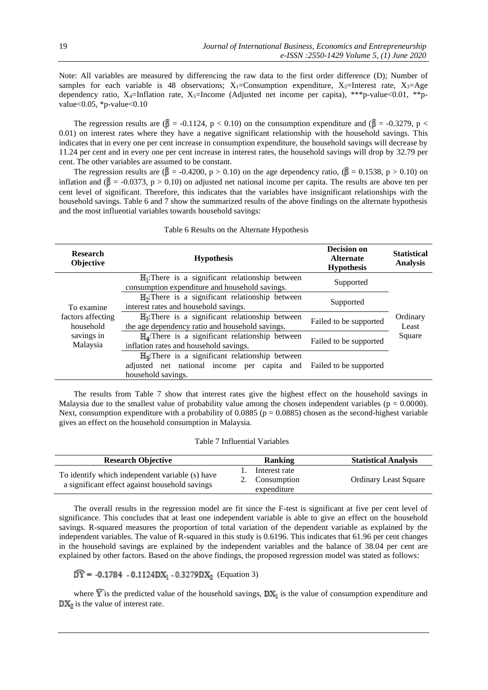Note: All variables are measured by differencing the raw data to the first order difference (D); Number of samples for each variable is 48 observations;  $X_1$ =Consumption expenditure,  $X_2$ =Interest rate,  $X_3$ =Age dependency ratio,  $X_4$ =Inflation rate,  $X_5$ =Income (Adjusted net income per capita), \*\*\*p-value<0.01, \*\*pvalue<0.05, \*p-value<0.10

The regression results are  $(\hat{\beta} = -0.1124, p < 0.10)$  on the consumption expenditure and  $(\hat{\beta} = -0.3279, p <$ 0.01) on interest rates where they have a negative significant relationship with the household savings. This indicates that in every one per cent increase in consumption expenditure, the household savings will decrease by 11.24 per cent and in every one per cent increase in interest rates, the household savings will drop by 32.79 per cent. The other variables are assumed to be constant.

The regression results are ( $\beta$  = -0.4200, p > 0.10) on the age dependency ratio, ( $\beta$  = 0.1538, p > 0.10) on inflation and ( $\beta$  = -0.0373, p > 0.10) on adjusted net national income per capita. The results are above ten per cent level of significant. Therefore, this indicates that the variables have insignificant relationships with the household savings. Table 6 and 7 show the summarized results of the above findings on the alternate hypothesis and the most influential variables towards household savings:

#### Table 6 Results on the Alternate Hypothesis

| <b>Research</b><br>Objective   | <b>Hypothesis</b>                                                                                                       | <b>Decision on</b><br><b>Alternate</b><br><b>Hypothesis</b> | <b>Statistical</b><br><b>Analysis</b> |
|--------------------------------|-------------------------------------------------------------------------------------------------------------------------|-------------------------------------------------------------|---------------------------------------|
|                                | $H_1$ : There is a significant relationship between<br>consumption expenditure and household savings.                   | Supported                                                   |                                       |
| To examine                     | $H_1$ : There is a significant relationship between<br>interest rates and household savings.                            | Supported                                                   |                                       |
| factors affecting<br>household | $H_3$ : There is a significant relationship between<br>the age dependency ratio and household savings.                  | Failed to be supported                                      | Ordinary<br>Least                     |
| savings in<br>Malaysia         | $H_4$ : There is a significant relationship between<br>inflation rates and household savings.                           | Failed to be supported                                      | Square                                |
|                                | $H5$ : There is a significant relationship between<br>adjusted net national income per capita and<br>household savings. | Failed to be supported                                      |                                       |

The results from Table 7 show that interest rates give the highest effect on the household savings in Malaysia due to the smallest value of probability value among the chosen independent variables ( $p = 0.0000$ ). Next, consumption expenditure with a probability of  $0.0885$  ( $p = 0.0885$ ) chosen as the second-highest variable gives an effect on the household consumption in Malaysia.

#### Table 7 Influential Variables

| <b>Research Objective</b>                                                                         | <b>Ranking</b>                                 | <b>Statistical Analysis</b>  |
|---------------------------------------------------------------------------------------------------|------------------------------------------------|------------------------------|
| To identify which independent variable (s) have<br>a significant effect against household savings | Interest rate<br>2. Consumption<br>expenditure | <b>Ordinary Least Square</b> |

The overall results in the regression model are fit since the F-test is significant at five per cent level of significance. This concludes that at least one independent variable is able to give an effect on the household savings. R-squared measures the proportion of total variation of the dependent variable as explained by the independent variables. The value of R-squared in this study is 0.6196. This indicates that 61.96 per cent changes in the household savings are explained by the independent variables and the balance of 38.04 per cent are explained by other factors. Based on the above findings, the proposed regression model was stated as follows:

# $\widehat{DY} = -0.1784 - 0.1124DX_1 - 0.3279DX_2$  (Equation 3)

where  $\overline{Y}$  is the predicted value of the household savings,  $DX_1$  is the value of consumption expenditure and  $DX_2$  is the value of interest rate.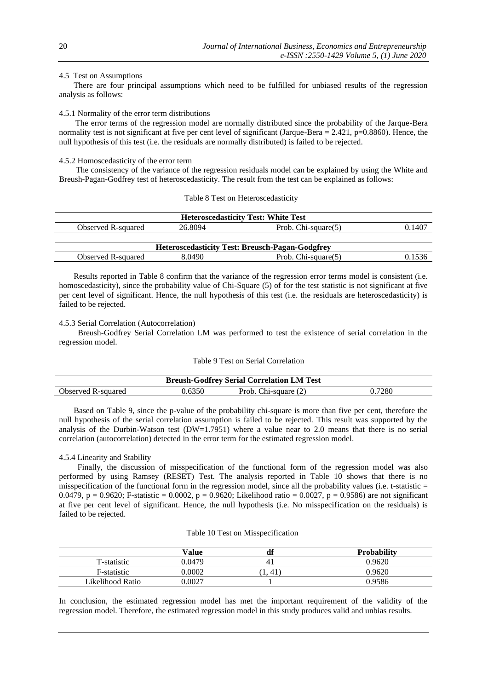# 4.5 Test on Assumptions

There are four principal assumptions which need to be fulfilled for unbiased results of the regression analysis as follows:

# 4.5.1 Normality of the error term distributions

 The error terms of the regression model are normally distributed since the probability of the Jarque-Bera normality test is not significant at five per cent level of significant (Jarque-Bera  $= 2.421$ , p=0.8860). Hence, the null hypothesis of this test (i.e. the residuals are normally distributed) is failed to be rejected.

# 4.5.2 Homoscedasticity of the error term

The consistency of the variance of the regression residuals model can be explained by using the White and Breush-Pagan-Godfrey test of heteroscedasticity. The result from the test can be explained as follows:

#### Table 8 Test on Heteroscedasticity

| <b>Heteroscedasticity Test: White Test</b> |         |                                                        |        |  |  |  |
|--------------------------------------------|---------|--------------------------------------------------------|--------|--|--|--|
| Observed R-squared                         | 26.8094 | Prob. Chi-square $(5)$                                 | 0.1407 |  |  |  |
|                                            |         |                                                        |        |  |  |  |
|                                            |         | <b>Heteroscedasticity Test: Breusch-Pagan-Godgfrey</b> |        |  |  |  |
| Observed R-squared                         | 8.0490  | Prob. Chi-square $(5)$                                 | 0.1536 |  |  |  |

Results reported in Table 8 confirm that the variance of the regression error terms model is consistent (i.e. homoscedasticity), since the probability value of Chi-Square (5) of for the test statistic is not significant at five per cent level of significant. Hence, the null hypothesis of this test (i.e. the residuals are heteroscedasticity) is failed to be rejected.

#### 4.5.3 Serial Correlation (Autocorrelation)

 Breush-Godfrey Serial Correlation LM was performed to test the existence of serial correlation in the regression model.

#### Table 9 Test on Serial Correlation

| <b>Breush-Godfrey Serial Correlation LM Test</b> |        |                      |        |  |  |  |
|--------------------------------------------------|--------|----------------------|--------|--|--|--|
| Observed R-squared                               | 0.6350 | Prob. Chi-square (2) | 0.7280 |  |  |  |

Based on Table 9, since the p-value of the probability chi-square is more than five per cent, therefore the null hypothesis of the serial correlation assumption is failed to be rejected. This result was supported by the analysis of the Durbin-Watson test (DW=1.7951) where a value near to 2.0 means that there is no serial correlation (autocorrelation) detected in the error term for the estimated regression model.

#### 4.5.4 Linearity and Stability

 Finally, the discussion of misspecification of the functional form of the regression model was also performed by using Ramsey (RESET) Test. The analysis reported in Table 10 shows that there is no misspecification of the functional form in the regression model, since all the probability values (i.e.  $t$ -statistic  $=$ 0.0479, p = 0.9620; F-statistic = 0.0002, p = 0.9620; Likelihood ratio = 0.0027, p = 0.9586) are not significant at five per cent level of significant. Hence, the null hypothesis (i.e. No misspecification on the residuals) is failed to be rejected.

#### Table 10 Test on Misspecification

|                  | Value  | aı             | <b>Probability</b> |
|------------------|--------|----------------|--------------------|
| T-statistic      | 0.0479 | 4 <sub>1</sub> | 0.9620             |
| F-statistic      | ).0002 | 41             | 0.9620             |
| Likelihood Ratio | 0.0027 |                | 0.9586             |

In conclusion, the estimated regression model has met the important requirement of the validity of the regression model. Therefore, the estimated regression model in this study produces valid and unbias results.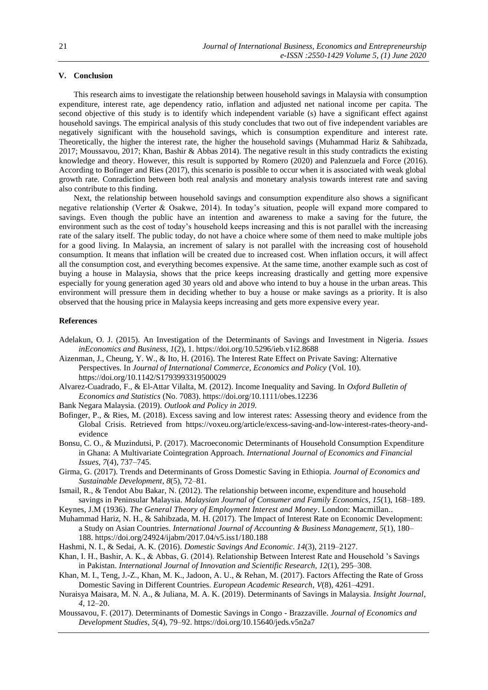# **V. Conclusion**

This research aims to investigate the relationship between household savings in Malaysia with consumption expenditure, interest rate, age dependency ratio, inflation and adjusted net national income per capita. The second objective of this study is to identify which independent variable (s) have a significant effect against household savings. The empirical analysis of this study concludes that two out of five independent variables are negatively significant with the household savings, which is consumption expenditure and interest rate. Theoretically, the higher the interest rate, the higher the household savings (Muhammad Hariz & Sahibzada, 2017; Moussavou, 2017; Khan, Bashir & Abbas 2014). The negative result in this study contradicts the existing knowledge and theory. However, this result is supported by Romero (2020) and Palenzuela and Force (2016). According to Bofinger and Ries (2017), this scenario is possible to occur when it is associated with weak global growth rate. Conradiction between both real analysis and monetary analysis towards interest rate and saving also contribute to this finding.

Next, the relationship between household savings and consumption expenditure also shows a significant negative relationship (Verter & Osakwe, 2014). In today's situation, people will expand more compared to savings. Even though the public have an intention and awareness to make a saving for the future, the environment such as the cost of today's household keeps increasing and this is not parallel with the increasing rate of the salary itself. The public today, do not have a choice where some of them need to make multiple jobs for a good living. In Malaysia, an increment of salary is not parallel with the increasing cost of household consumption. It means that inflation will be created due to increased cost. When inflation occurs, it will affect all the consumption cost, and everything becomes expensive. At the same time, another example such as cost of buying a house in Malaysia, shows that the price keeps increasing drastically and getting more expensive especially for young generation aged 30 years old and above who intend to buy a house in the urban areas. This environment will pressure them in deciding whether to buy a house or make savings as a priority. It is also observed that the housing price in Malaysia keeps increasing and gets more expensive every year.

#### **References**

- Adelakun, O. J. (2015). An Investigation of the Determinants of Savings and Investment in Nigeria. *Issues inEconomics and Business*, *1*(2), 1. https://doi.org/10.5296/ieb.v1i2.8688
- Aizenman, J., Cheung, Y. W., & Ito, H. (2016). The Interest Rate Effect on Private Saving: Alternative Perspectives. In *Journal of International Commerce, Economics and Policy* (Vol. 10). https://doi.org/10.1142/S1793993319500029
- Alvarez-Cuadrado, F., & El-Attar Vilalta, M. (2012). Income Inequality and Saving. In *Oxford Bulletin of Economics and Statistics* (No. 7083). https://doi.org/10.1111/obes.12236
- Bank Negara Malaysia. (2019). *Outlook and Policy in 2019*.
- Bofinger, P., & Ries, M. (2018). Excess saving and low interest rates: Assessing theory and evidence from the Global Crisis. Retrieved from https://voxeu.org/article/excess-saving-and-low-interest-rates-theory-andevidence
- Bonsu, C. O., & Muzindutsi, P. (2017). Macroeconomic Determinants of Household Consumption Expenditure in Ghana: A Multivariate Cointegration Approach. *International Journal of Economics and Financial Issues*, *7*(4), 737–745.
- Girma, G. (2017). Trends and Determinants of Gross Domestic Saving in Ethiopia. *Journal of Economics and Sustainable Development*, *8*(5), 72–81.
- Ismail, R., & Tendot Abu Bakar, N. (2012). The relationship between income, expenditure and household savings in Peninsular Malaysia. *Malaysian Journal of Consumer and Family Economics*, *15*(1), 168–189.
- Keynes, J.M (1936). *The General Theory of Employment Interest and Money*. London: Macmillan..
- Muhammad Hariz, N. H., & Sahibzada, M. H. (2017). The Impact of Interest Rate on Economic Development: a Study on Asian Countries. *International Journal of Accounting & Business Management*, *5*(1), 180– 188. https://doi.org/24924/ijabm/2017.04/v5.iss1/180.188
- Hashmi, N. I., & Sedai, A. K. (2016). *Domestic Savings And Economic*. *14*(3), 2119–2127.
- Khan, I. H., Bashir, A. K., & Abbas, G. (2014). Relationship Between Interest Rate and Household 's Savings in Pakistan. *International Journal of Innovation and Scientific Research*, *12*(1), 295–308.
- Khan, M. I., Teng, J.-Z., Khan, M. K., Jadoon, A. U., & Rehan, M. (2017). Factors Affecting the Rate of Gross Domestic Saving in Different Countries. *European Academic Research*, *V*(8), 4261–4291.
- Nuraisya Maisara, M. N. A., & Juliana, M. A. K. (2019). Determinants of Savings in Malaysia. *Insight Journal*, *4*, 12–20.
- Moussavou, F. (2017). Determinants of Domestic Savings in Congo Brazzaville. *Journal of Economics and Development Studies*, *5*(4), 79–92. https://doi.org/10.15640/jeds.v5n2a7